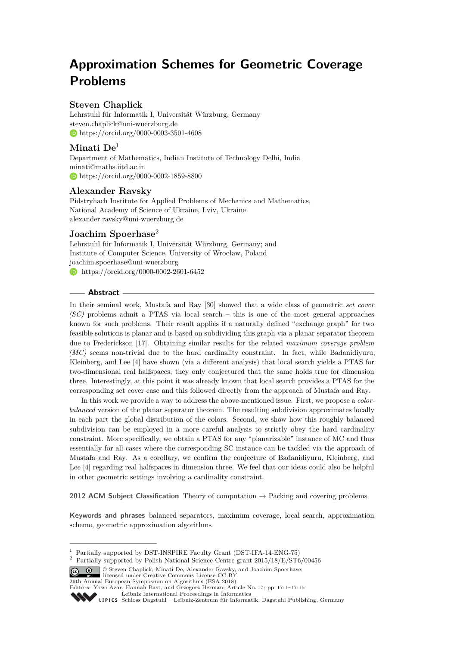# **Approximation Schemes for Geometric Coverage Problems**

# **Steven Chaplick**

Lehrstuhl für Informatik I, Universität Würzburg, Germany [steven.chaplick@uni-wuerzburg.de](mailto:steven.chaplick@uni-wuerzburg.de) <https://orcid.org/0000-0003-3501-4608>

# **Minati De**<sup>1</sup>

Department of Mathematics, Indian Institute of Technology Delhi, India [minati@maths.iitd.ac.in](mailto:minati@maths.iitd.ac.in) <https://orcid.org/0000-0002-1859-8800>

# **Alexander Ravsky**

Pidstryhach Institute for Applied Problems of Mechanics and Mathematics, National Academy of Science of Ukraine, Lviv, Ukraine [alexander.ravsky@uni-wuerzburg.de](mailto:alexander.ravsky@uni-wuerzburg.de)

# **Joachim Spoerhase**<sup>2</sup>

Lehrstuhl für Informatik I, Universität Würzburg, Germany; and Institute of Computer Science, University of Wrocław, Poland [joachim.spoerhase@uni-wuerzburg](mailto:joachim.spoerhase@uni-wuerzburg) [https://orcid.org/0000-0002-2601-6452]( https://orcid.org/0000-0002-2601-6452)

## **Abstract**

In their seminal work, Mustafa and Ray [\[30\]](#page-14-0) showed that a wide class of geometric *set cover (SC)* problems admit a PTAS via local search – this is one of the most general approaches known for such problems. Their result applies if a naturally defined "exchange graph" for two feasible solutions is planar and is based on subdividing this graph via a planar separator theorem due to Frederickson [\[17\]](#page-13-0). Obtaining similar results for the related *maximum coverage problem (MC)* seems non-trivial due to the hard cardinality constraint. In fact, while Badanidiyuru, Kleinberg, and Lee [\[4\]](#page-12-0) have shown (via a different analysis) that local search yields a PTAS for two-dimensional real halfspaces, they only conjectured that the same holds true for dimension three. Interestingly, at this point it was already known that local search provides a PTAS for the corresponding set cover case and this followed directly from the approach of Mustafa and Ray.

In this work we provide a way to address the above-mentioned issue. First, we propose a *colorbalanced* version of the planar separator theorem. The resulting subdivision approximates locally in each part the global distribution of the colors. Second, we show how this roughly balanced subdivision can be employed in a more careful analysis to strictly obey the hard cardinality constraint. More specifically, we obtain a PTAS for any "planarizable" instance of MC and thus essentially for all cases where the corresponding SC instance can be tackled via the approach of Mustafa and Ray. As a corollary, we confirm the conjecture of Badanidiyuru, Kleinberg, and Lee [\[4\]](#page-12-0) regarding real halfspaces in dimension three. We feel that our ideas could also be helpful in other geometric settings involving a cardinality constraint.

**2012 ACM Subject Classification** Theory of computation → Packing and covering problems

**Keywords and phrases** balanced separators, maximum coverage, local search, approximation scheme, geometric approximation algorithms

© Steven Chaplick, Minati De, Alexander Ravsky, and Joachim Spoerhase; licensed under Creative Commons License CC-BY 26th Annual European Symposium on Algorithms (ESA 2018).

Editors: Yossi Azar, Hannah Bast, and Grzegorz Herman; Article No. 17; pp. 17:1–17[:15](#page-14-1)

[Leibniz International Proceedings in Informatics](http://www.dagstuhl.de/lipics/)

<sup>&</sup>lt;sup>1</sup> Partially supported by DST-INSPIRE Faculty Grant (DST-IFA-14-ENG-75)

<sup>2</sup> Partially supported by Polish National Science Centre grant 2015/18/E/ST6/00456

Leibniz International Froceedings in Informatik, Dagstuhl Publishing, Germany<br>LIPICS [Schloss Dagstuhl – Leibniz-Zentrum für Informatik, Dagstuhl Publishing, Germany](http://www.dagstuhl.de)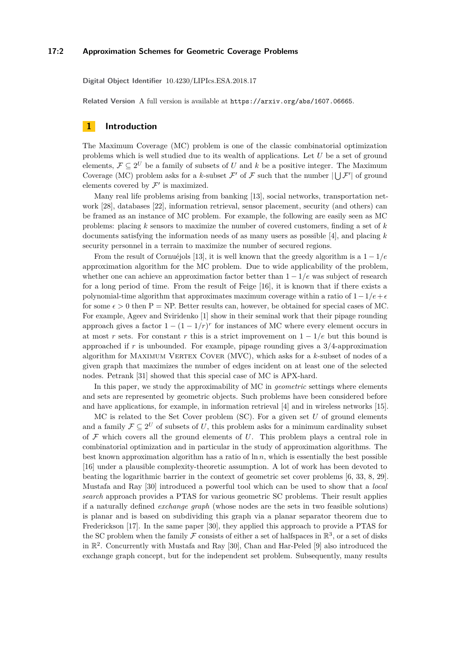## **17:2 Approximation Schemes for Geometric Coverage Problems**

**Digital Object Identifier** [10.4230/LIPIcs.ESA.2018.17](http://dx.doi.org/10.4230/LIPIcs.ESA.2018.17)

**Related Version** A full version is available at <https://arxiv.org/abs/1607.06665>.

## **1 Introduction**

The Maximum Coverage (MC) problem is one of the classic combinatorial optimization problems which is well studied due to its wealth of applications. Let *U* be a set of ground elements,  $\mathcal{F} \subseteq 2^U$  be a family of subsets of *U* and *k* be a positive integer. The Maximum Coverage (MC) problem asks for a *k*-subset  $\mathcal{F}'$  of  $\mathcal{F}$  such that the number  $|\bigcup \mathcal{F}'|$  of ground elements covered by  $\mathcal{F}'$  is maximized.

Many real life problems arising from banking [\[13\]](#page-13-1), social networks, transportation network [\[28\]](#page-13-2), databases [\[22\]](#page-13-3), information retrieval, sensor placement, security (and others) can be framed as an instance of MC problem. For example, the following are easily seen as MC problems: placing *k* sensors to maximize the number of covered customers, finding a set of *k* documents satisfying the information needs of as many users as possible [\[4\]](#page-12-0), and placing *k* security personnel in a terrain to maximize the number of secured regions.

From the result of Cornuéjols [\[13\]](#page-13-1), it is well known that the greedy algorithm is a 1 − 1*/e* approximation algorithm for the MC problem. Due to wide applicability of the problem, whether one can achieve an approximation factor better than 1 − 1*/e* was subject of research for a long period of time. From the result of Feige [\[16\]](#page-13-4), it is known that if there exists a polynomial-time algorithm that approximates maximum coverage within a ratio of  $1-1/e+\epsilon$ for some  $\epsilon > 0$  then P = NP. Better results can, however, be obtained for special cases of MC. For example, Ageev and Sviridenko [\[1\]](#page-12-1) show in their seminal work that their pipage rounding approach gives a factor  $1 - (1 - 1/r)^r$  for instances of MC where every element occurs in at most *r* sets. For constant *r* this is a strict improvement on  $1 - 1/e$  but this bound is approached if *r* is unbounded. For example, pipage rounding gives a 3*/*4-approximation algorithm for MAXIMUM VERTEX COVER (MVC), which asks for a *k*-subset of nodes of a given graph that maximizes the number of edges incident on at least one of the selected nodes. Petrank [\[31\]](#page-14-2) showed that this special case of MC is APX-hard.

In this paper, we study the approximability of MC in *geometric* settings where elements and sets are represented by geometric objects. Such problems have been considered before and have applications, for example, in information retrieval [\[4\]](#page-12-0) and in wireless networks [\[15\]](#page-13-5).

MC is related to the Set Cover problem (SC). For a given set *U* of ground elements and a family  $\mathcal{F} \subseteq 2^U$  of subsets of U, this problem asks for a minimum cardinality subset of  $\mathcal F$  which covers all the ground elements of  $U$ . This problem plays a central role in combinatorial optimization and in particular in the study of approximation algorithms. The best known approximation algorithm has a ratio of  $\ln n$ , which is essentially the best possible [\[16\]](#page-13-4) under a plausible complexity-theoretic assumption. A lot of work has been devoted to beating the logarithmic barrier in the context of geometric set cover problems [\[6,](#page-12-2) [33,](#page-14-3) [8,](#page-12-3) [29\]](#page-14-4). Mustafa and Ray [\[30\]](#page-14-0) introduced a powerful tool which can be used to show that a *local search* approach provides a PTAS for various geometric SC problems. Their result applies if a naturally defined *exchange graph* (whose nodes are the sets in two feasible solutions) is planar and is based on subdividing this graph via a planar separator theorem due to Frederickson [\[17\]](#page-13-0). In the same paper [\[30\]](#page-14-0), they applied this approach to provide a PTAS for the SC problem when the family  $\mathcal F$  consists of either a set of halfspaces in  $\mathbb R^3$ , or a set of disks in R 2 . Concurrently with Mustafa and Ray [\[30\]](#page-14-0), Chan and Har-Peled [\[9\]](#page-12-4) also introduced the exchange graph concept, but for the independent set problem. Subsequently, many results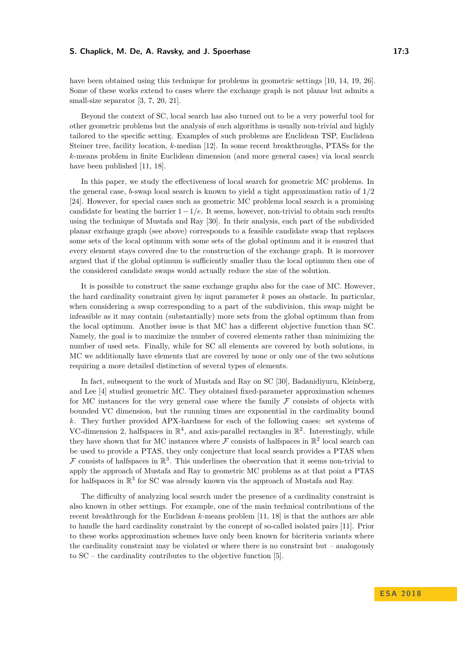## **S. Chaplick, M. De, A. Ravsky, and J. Spoerhase 17:3**

have been obtained using this technique for problems in geometric settings [\[10,](#page-12-5) [14,](#page-13-6) [19,](#page-13-7) [26\]](#page-13-8). Some of these works extend to cases where the exchange graph is not planar but admits a small-size separator [\[3,](#page-12-6) [7,](#page-12-7) [20,](#page-13-9) [21\]](#page-13-10).

Beyond the context of SC, local search has also turned out to be a very powerful tool for other geometric problems but the analysis of such algorithms is usually non-trivial and highly tailored to the specific setting. Examples of such problems are Euclidean TSP, Euclidean Steiner tree, facility location, *k*-median [\[12\]](#page-13-11). In some recent breakthroughs, PTASs for the *k*-means problem in finite Euclidean dimension (and more general cases) via local search have been published [\[11,](#page-12-8) [18\]](#page-13-12).

In this paper, we study the effectiveness of local search for geometric MC problems. In the general case, *b*-swap local search is known to yield a tight approximation ratio of 1*/*2 [\[24\]](#page-13-13). However, for special cases such as geometric MC problems local search is a promising candidate for beating the barrier 1−1*/e*. It seems, however, non-trivial to obtain such results using the technique of Mustafa and Ray [\[30\]](#page-14-0). In their analysis, each part of the subdivided planar exchange graph (see above) corresponds to a feasible candidate swap that replaces some sets of the local optimum with some sets of the global optimum and it is ensured that every element stays covered due to the construction of the exchange graph. It is moreover argued that if the global optimum is sufficiently smaller than the local optimum then one of the considered candidate swaps would actually reduce the size of the solution.

It is possible to construct the same exchange graphs also for the case of MC. However, the hard cardinality constraint given by input parameter *k* poses an obstacle. In particular, when considering a swap corresponding to a part of the subdivision, this swap might be infeasible as it may contain (substantially) more sets from the global optimum than from the local optimum. Another issue is that MC has a different objective function than SC. Namely, the goal is to maximize the number of covered elements rather than minimizing the number of used sets. Finally, while for SC all elements are covered by both solutions, in MC we additionally have elements that are covered by none or only one of the two solutions requiring a more detailed distinction of several types of elements.

In fact, subsequent to the work of Mustafa and Ray on SC [\[30\]](#page-14-0), Badanidiyuru, Kleinberg, and Lee [\[4\]](#page-12-0) studied geometric MC. They obtained fixed-parameter approximation schemes for MC instances for the very general case where the family  $\mathcal F$  consists of objects with bounded VC dimension, but the running times are exponential in the cardinality bound *k*. They further provided APX-hardness for each of the following cases: set systems of VC-dimension 2, halfspaces in  $\mathbb{R}^4$ , and axis-parallel rectangles in  $\mathbb{R}^2$ . Interestingly, while they have shown that for MC instances where  $\mathcal F$  consists of halfspaces in  $\mathbb R^2$  local search can be used to provide a PTAS, they only conjecture that local search provides a PTAS when  $\mathcal F$  consists of halfspaces in  $\mathbb R^3$ . This underlines the observation that it seems non-trivial to apply the approach of Mustafa and Ray to geometric MC problems as at that point a PTAS for halfspaces in  $\mathbb{R}^3$  for SC was already known via the approach of Mustafa and Ray.

The difficulty of analyzing local search under the presence of a cardinality constraint is also known in other settings. For example, one of the main technical contributions of the recent breakthrough for the Euclidean *k*-means problem [\[11,](#page-12-8) [18\]](#page-13-12) is that the authors are able to handle the hard cardinality constraint by the concept of so-called isolated pairs [\[11\]](#page-12-8). Prior to these works approximation schemes have only been known for bicriteria variants where the cardinality constraint may be violated or where there is no constraint but – analogously to SC – the cardinality contributes to the objective function [\[5\]](#page-12-9).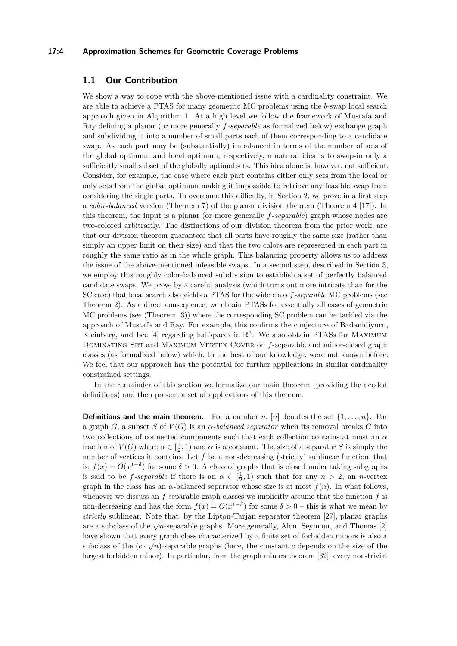## **17:4 Approximation Schemes for Geometric Coverage Problems**

## **1.1 Our Contribution**

We show a way to cope with the above-mentioned issue with a cardinality constraint. We are able to achieve a PTAS for many geometric MC problems using the *b*-swap local search approach given in Algorithm [1.](#page-4-0) At a high level we follow the framework of Mustafa and Ray defining a planar (or more generally *f-separable* as formalized below) exchange graph and subdividing it into a number of small parts each of them corresponding to a candidate swap. As each part may be (substantially) imbalanced in terms of the number of sets of the global optimum and local optimum, respectively, a natural idea is to swap-in only a sufficiently small subset of the globally optimal sets. This idea alone is, however, not sufficient. Consider, for example, the case where each part contains either only sets from the local or only sets from the global optimum making it impossible to retrieve any feasible swap from considering the single parts. To overcome this difficulty, in Section [2,](#page-5-0) we prove in a first step a *color-balanced* version (Theorem [7\)](#page-9-0) of the planar division theorem (Theorem [4](#page-6-0) [\[17\]](#page-13-0)). In this theorem, the input is a planar (or more generally *f-separable*) graph whose nodes are two-colored arbitrarily. The distinctions of our division theorem from the prior work, are that our division theorem guarantees that all parts have roughly the same size (rather than simply an upper limit on their size) and that the two colors are represented in each part in roughly the same ratio as in the whole graph. This balancing property allows us to address the issue of the above-mentioned infeasible swaps. In a second step, described in Section [3,](#page-9-1) we employ this roughly color-balanced subdivision to establish a set of perfectly balanced candidate swaps. We prove by a careful analysis (which turns out more intricate than for the SC case) that local search also yields a PTAS for the wide class *f-separable* MC problems (see Theorem [2\)](#page-4-1). As a direct consequence, we obtain PTASs for essentially all cases of geometric MC problems (see (Theorem [3\)](#page-5-1)) where the corresponding SC problem can be tackled via the approach of Mustafa and Ray. For example, this confirms the conjecture of Badanidiyuru, Kleinberg, and Lee [\[4\]](#page-12-0) regarding halfspaces in  $\mathbb{R}^3$ . We also obtain PTASs for MAXIMUM DOMINATING SET and MAXIMUM VERTEX COVER on *f*-separable and minor-closed graph classes (as formalized below) which, to the best of our knowledge, were not known before. We feel that our approach has the potential for further applications in similar cardinality constrained settings.

In the remainder of this section we formalize our main theorem (providing the needed definitions) and then present a set of applications of this theorem.

**Definitions and the main theorem.** For a number  $n$ ,  $[n]$  denotes the set  $\{1, \ldots, n\}$ . For a graph *G*, a subset *S* of  $V(G)$  is an  $\alpha$ -balanced separator when its removal breaks *G* into two collections of connected components such that each collection contains at most an *α* fraction of  $V(G)$  where  $\alpha \in \left[\frac{1}{2}, 1\right)$  and  $\alpha$  is a constant. The size of a separator *S* is simply the number of vertices it contains. Let *f* be a non-decreasing (strictly) sublinear function, that is,  $f(x) = O(x^{1-\delta})$  for some  $\delta > 0$ . A class of graphs that is closed under taking subgraphs is said to be *f*-separable if there is an  $\alpha \in \left[\frac{1}{2}, 1\right)$  such that for any  $n > 2$ , an *n*-vertex graph in the class has an  $\alpha$ -balanced separator whose size is at most  $f(n)$ . In what follows, whenever we discuss an *f*-separable graph classes we implicitly assume that the function *f* is non-decreasing and has the form  $f(x) = O(x^{1-\delta})$  for some  $\delta > 0$  – this is what we mean by *strictly* sublinear. Note that, by the Lipton-Tarjan separator theorem [\[27\]](#page-13-14), planar graphs are a subclass of the  $\sqrt{n}$ -separable graphs. More generally, Alon, Seymour, and Thomas [\[2\]](#page-12-10) have shown that every graph class characterized by a finite set of forbidden minors is also a subclass of the  $(c \cdot \sqrt{n})$ -separable graphs (here, the constant *c* depends on the size of the largest forbidden minor). In particular, from the graph minors theorem [\[32\]](#page-14-5), every non-trivial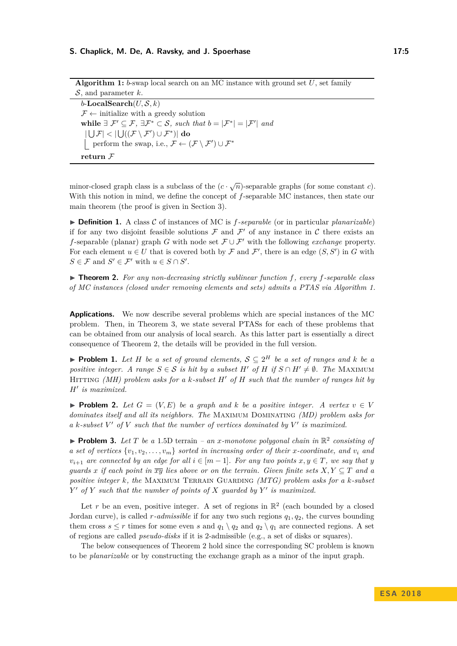### **S. Chaplick, M. De, A. Ravsky, and J. Spoerhase 17:5** 17:5

<span id="page-4-0"></span>

| <b>Algorithm 1:</b> 0-swap local search on an MC instance with ground set $U$ , set family                                                                          |
|---------------------------------------------------------------------------------------------------------------------------------------------------------------------|
| $S$ , and parameter k.                                                                                                                                              |
| b-LocalSearch $(U, \mathcal{S}, k)$                                                                                                                                 |
| $\mathcal{F} \leftarrow$ initialize with a greedy solution                                                                                                          |
| while $\exists \mathcal{F}' \subseteq \mathcal{F}, \exists \mathcal{F}^* \subset \mathcal{S}, \text{ such that } b =  \mathcal{F}^*  =  \mathcal{F}'  \text{ and }$ |
| $ U(F)  <  U(G(F \setminus F') \cup F^*) $ do                                                                                                                       |
| perform the swap, i.e., $\mathcal{F} \leftarrow (\mathcal{F} \setminus \mathcal{F}') \cup \mathcal{F}^*$                                                            |
| return $\mathcal F$                                                                                                                                                 |

**Algorithm 1:** *b*-swap local search on an MC instance with ground set *U*, set family

minor-closed graph class is a subclass of the  $(c \cdot \sqrt{n})$ -separable graphs (for some constant *c*). With this notion in mind, we define the concept of *f*-separable MC instances, then state our main theorem (the proof is given in Section [3\)](#page-9-1).

<span id="page-4-2"></span>▶ **Definition 1.** A class C of instances of MC is *f-separable* (or in particular *planarizable*) if for any two disjoint feasible solutions  $\mathcal F$  and  $\mathcal F'$  of any instance in  $\mathcal C$  there exists an *f*-separable (planar) graph *G* with node set  $\mathcal{F} \cup \mathcal{F}'$  with the following *exchange* property. For each element  $u \in U$  that is covered both by  $\mathcal F$  and  $\mathcal F'$ , there is an edge  $(S, S')$  in  $G$  with  $S \in \mathcal{F}$  and  $S' \in \mathcal{F}'$  with  $u \in S \cap S'$ .

<span id="page-4-1"></span>I **Theorem 2.** *For any non-decreasing strictly sublinear function f, every f-separable class of MC instances (closed under removing elements and sets) admits a PTAS via Algorithm [1.](#page-4-0)*

**Applications.** We now describe several problems which are special instances of the MC problem. Then, in Theorem [3,](#page-5-1) we state several PTASs for each of these problems that can be obtained from our analysis of local search. As this latter part is essentially a direct consequence of Theorem [2,](#page-4-1) the details will be provided in the full version.

▶ **Problem 1.** Let *H* be a set of ground elements,  $S \subseteq 2^H$  be a set of ranges and *k* be a *positive integer.* A range  $S \in \mathcal{S}$  *is hit by a subset*  $H'$  *of*  $H$  *if*  $S \cap H' \neq \emptyset$ *. The* MAXIMUM Hitting *(MH) problem asks for a k-subset H*<sup>0</sup> *of H such that the number of ranges hit by H*<sup>0</sup> *is maximized.*

▶ **Problem 2.** Let  $G = (V, E)$  be a graph and k be a positive integer. A vertex  $v \in V$ *dominates itself and all its neighbors. The* Maximum Dominating *(MD) problem asks for* a *k*-subset  $V'$  of  $V$  such that the number of vertices dominated by  $V'$  is maximized.

**Problem 3.** Let T be a 1.5D terrain – an *x*-monotone polygonal chain in  $\mathbb{R}^2$  consisting of *a set of vertices*  $\{v_1, v_2, \ldots, v_m\}$  *sorted in increasing order of their x-coordinate, and*  $v_i$  *and*  $v_{i+1}$  *are connected by an edge for all*  $i \in [m-1]$ *. For any two points*  $x, y \in T$ *, we say that y guards x if each point in*  $\overline{xy}$  *lies above or on the terrain. Given finite sets*  $X, Y \subseteq T$  *and a positive integer k, the* Maximum Terrain Guarding *(MTG) problem asks for a k-subset Y*<sup> $\prime$ </sup> *of Y such that the number of points of X guarded by Y*<sup> $\prime$ </sup> *is maximized.* 

Let r be an even, positive integer. A set of regions in  $\mathbb{R}^2$  (each bounded by a closed Jordan curve), is called *r-admissible* if for any two such regions *q*1*, q*2, the curves bounding them cross  $s \leq r$  times for some even s and  $q_1 \setminus q_2$  and  $q_2 \setminus q_1$  are connected regions. A set of regions are called *pseudo-disks* if it is 2-admissible (e.g., a set of disks or squares).

The below consequences of Theorem [2](#page-4-1) hold since the corresponding SC problem is known to be *planarizable* or by constructing the exchange graph as a minor of the input graph.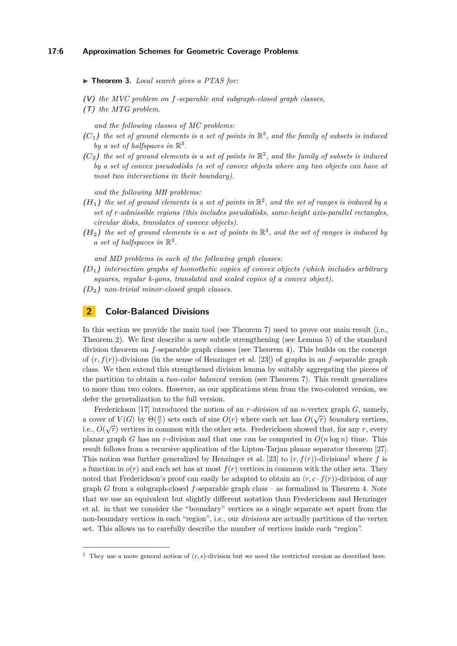#### <span id="page-5-1"></span>▶ **Theorem 3.** *Local search gives a PTAS for:*

- **(V)** *the MVC problem on f-separable and subgraph-closed graph classes,*
- **(T)** *the MTG problem.*

*and the following classes of MC problems:*

- $(C_1)$  the set of ground elements is a set of points in  $\mathbb{R}^3$ , and the family of subsets is induced by a set of halfspaces in  $\mathbb{R}^3$ .
- $(C_2)$  the set of ground elements is a set of points in  $\mathbb{R}^2$ , and the family of subsets is induced *by a set of convex pseudodisks (a set of convex objects where any two objects can have at most two intersections in their boundary).*

*and the following MH problems:*

- $(H_1)$  the set of ground elements is a set of points in  $\mathbb{R}^2$ , and the set of ranges is induced by a *set of r-admissible regions (this includes pseudodisks, same-height axis-parallel rectangles, circular disks, translates of convex objects).*
- $(H_2)$  the set of ground elements is a set of points in  $\mathbb{R}^3$ , and the set of ranges is induced by *a set of halfspaces in*  $\mathbb{R}^3$ .

*and MD problems in each of the following graph classes:*

- **(***D***1)** *intersection graphs of homothetic copies of convex objects (which includes arbitrary squares, regular k-gons, translated and scaled copies of a convex object).*
- **(***D***2)** *non-trivial minor-closed graph classes.*

# <span id="page-5-0"></span>**2 Color-Balanced Divisions**

In this section we provide the main tool (see Theorem [7\)](#page-9-0) used to prove our main result (i.e., Theorem [2\)](#page-4-1). We first describe a new subtle strengthening (see Lemma [5\)](#page-6-1) of the standard division theorem on *f*-separable graph classes (see Theorem [4\)](#page-6-0). This builds on the concept of (*r, f*(*r*))-divisions (in the sense of Henzinger et al. [\[23\]](#page-13-15)) of graphs in an *f*-separable graph class. We then extend this strengthened division lemma by suitably aggregating the pieces of the partition to obtain a *two-color balanced* version (see Theorem [7\)](#page-9-0). This result generalizes to more than two colors. However, as our applications stem from the two-colored version, we defer the generalization to the full version.

Frederickson [\[17\]](#page-13-0) introduced the notion of an *r-division* of an *n*-vertex graph *G*, namely, a cover of  $V(G)$  by  $\Theta(\frac{n}{r})$  sets each of size  $O(r)$  where each set has  $O(\sqrt{r})$  *boundary* vertices, i.e.,  $O(\sqrt{r})$  vertices in common with the other sets. Frederickson showed that, for any  $r$ , every planar graph *G* has an *r*-division and that one can be computed in  $O(n \log n)$  time. This result follows from a recursive application of the Lipton-Tarjan planar separator theorem [\[27\]](#page-13-14). This notion was further generalized by Henzinger et al. [\[23\]](#page-13-15) to  $(r, f(r))$ -divisions<sup>[‡](#page-5-2)</sup> where f is a function in  $o(r)$  and each set has at most  $f(r)$  vertices in common with the other sets. They noted that Frederickson's proof can easily be adapted to obtain an  $(r, c \cdot f(r))$ -division of any graph *G* from a subgraph-closed *f*-separable graph class – as formalized in Theorem [4.](#page-6-0) Note that we use an equivalent but slightly different notation than Frederickson and Henzinger et al. in that we consider the "boundary" vertices as a single separate set apart from the non-boundary vertices in each "region", i.e., our *divisions* are actually partitions of the vertex set. This allows us to carefully describe the number of vertices inside each "region".

<span id="page-5-2"></span><sup>&</sup>lt;sup>‡</sup> They use a more general notion of  $(r, s)$ -division but we need the restricted version as described here.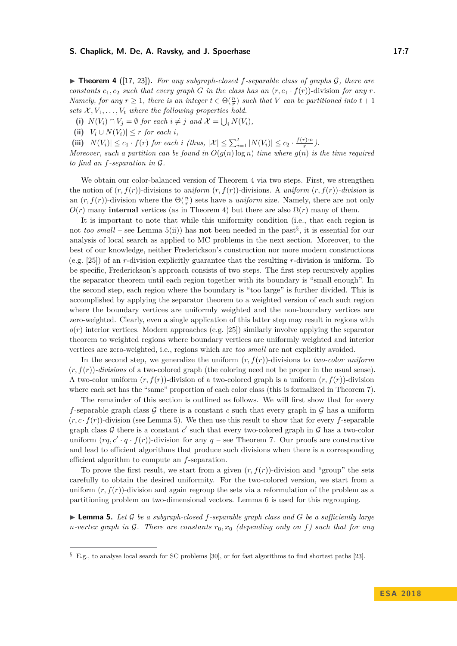### **S. Chaplick, M. De, A. Ravsky, and J. Spoerhase 17:7** 17:7

<span id="page-6-0"></span> $\triangleright$  **Theorem 4** ([\[17,](#page-13-0) [23\]](#page-13-15)). For any subgraph-closed f-separable class of graphs  $\mathcal{G}$ , there are *constants*  $c_1, c_2$  *such that every graph G in the class has an*  $(r, c_1 \cdot f(r))$ -division *for any*  $r$ *. Namely, for any*  $r \geq 1$ *, there is an integer*  $t \in \Theta(\frac{n}{r})$  *such that V can be partitioned into*  $t + 1$ *sets*  $X, V_1, \ldots, V_t$  *where the following properties hold.* 

(i)  $N(V_i) \cap V_j = \emptyset$  for each  $i \neq j$  and  $\mathcal{X} = \bigcup_i N(V_i)$ ,

 $\left| V_i \cup N(V_i) \right| \leq r$  *for each i*,

(iii)  $|N(V_i)| \le c_1 \cdot f(r)$  *for each i (thus,*  $|\mathcal{X}| \le \sum_{i=1}^t |N(V_i)| \le c_2 \cdot \frac{f(r) \cdot n}{r}$  $\frac{r) \cdot n}{r}$ ).

*Moreover, such a partition can be found in*  $O(g(n) \log n)$  *time where*  $g(n)$  *is the time required to find an f-separation in* G*.*

We obtain our color-balanced version of Theorem [4](#page-6-0) via two steps. First, we strengthen the notion of  $(r, f(r))$ -divisions to *uniform*  $(r, f(r))$ -divisions. A *uniform*  $(r, f(r))$ -division is an  $(r, f(r))$ -division where the  $\Theta(\frac{n}{r})$  sets have a *uniform* size. Namely, there are not only  $O(r)$  many **internal** vertices (as in Theorem [4\)](#page-6-0) but there are also  $\Omega(r)$  many of them.

It is important to note that while this uniformity condition (i.e., that each region is not *too small* – see Lemma [5](#page-6-1)[\(ii\)](#page-9-2)) has **not** been needed in the past[§](#page-6-2) , it is essential for our analysis of local search as applied to MC problems in the next section. Moreover, to the best of our knowledge, neither Frederickson's construction nor more modern constructions (e.g. [\[25\]](#page-13-16)) of an *r*-division explicitly guarantee that the resulting *r*-division is uniform. To be specific, Frederickson's approach consists of two steps. The first step recursively applies the separator theorem until each region together with its boundary is "small enough". In the second step, each region where the boundary is "too large" is further divided. This is accomplished by applying the separator theorem to a weighted version of each such region where the boundary vertices are uniformly weighted and the non-boundary vertices are zero-weighted. Clearly, even a single application of this latter step may result in regions with *o*(*r*) interior vertices. Modern approaches (e.g. [\[25\]](#page-13-16)) similarly involve applying the separator theorem to weighted regions where boundary vertices are uniformly weighted and interior vertices are zero-weighted, i.e., regions which are *too small* are not explicitly avoided.

In the second step, we generalize the uniform  $(r, f(r))$ -divisions to *two-color uniform* (*r, f*(*r*))*-divisions* of a two-colored graph (the coloring need not be proper in the usual sense). A two-color uniform  $(r, f(r))$ -division of a two-colored graph is a uniform  $(r, f(r))$ -division where each set has the "same" proportion of each color class (this is formalized in Theorem [7\)](#page-9-0).

The remainder of this section is outlined as follows. We will first show that for every *f*-separable graph class  $G$  there is a constant  $c$  such that every graph in  $G$  has a uniform  $(r, c \cdot f(r))$ -division (see Lemma [5\)](#page-6-1). We then use this result to show that for every *f*-separable graph class  $G$  there is a constant  $c'$  such that every two-colored graph in  $G$  has a two-color uniform  $(rq, c' \cdot q \cdot f(r))$ -division for any  $q$  – see Theorem [7.](#page-9-0) Our proofs are constructive and lead to efficient algorithms that produce such divisions when there is a corresponding efficient algorithm to compute an *f*-separation.

To prove the first result, we start from a given  $(r, f(r))$ -division and "group" the sets carefully to obtain the desired uniformity. For the two-colored version, we start from a uniform  $(r, f(r))$ -division and again regroup the sets via a reformulation of the problem as a partitioning problem on two-dimensional vectors. Lemma [6](#page-8-0) is used for this regrouping.

<span id="page-6-1"></span> $\blacktriangleright$  **Lemma 5.** Let G be a subgraph-closed f-separable graph class and G be a sufficiently large *n*-vertex graph in G. There are constants  $r_0$ ,  $x_0$  (depending only on f) such that for any

<span id="page-6-2"></span><sup>§</sup> E.g., to analyse local search for SC problems [\[30\]](#page-14-0), or for fast algorithms to find shortest paths [\[23\]](#page-13-15).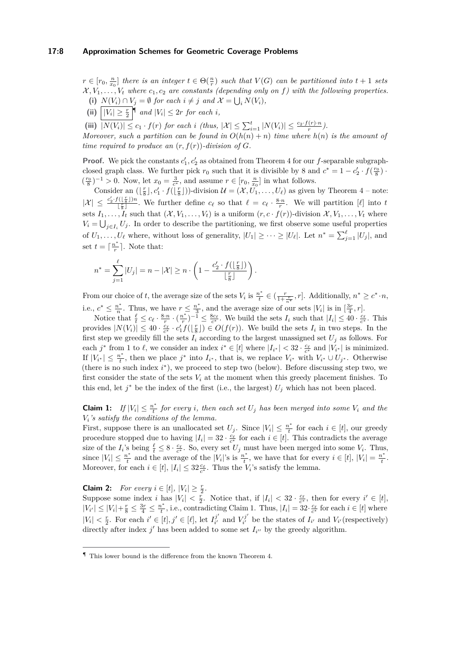$r \in [r_0, \frac{n}{x_0}]$  there is an integer  $t \in \Theta(\frac{n}{r})$  such that  $V(G)$  can be partitioned into  $t + 1$  sets  $X, V_1, \ldots, V_t$  where  $c_1, c_2$  are constants (depending only on f) with the following properties. (i)  $N(V_i) \cap V_j = \emptyset$  for each  $i \neq j$  and  $\mathcal{X} = \bigcup_i N(V_i)$ ,

- (ii)  $|V_i| \geq \frac{r}{2}$   $\vert \mathbb{T} \text{ and } |V_i| \leq 2r \text{ for each } i$ ,
- (iii)  $|N(V_i)| \leq c_1 \cdot f(r)$  for each i (thus,  $|\mathcal{X}| \leq \sum_{i=1}^t |N(V_i)| \leq \frac{c_2 \cdot f(r) \cdot n}{r}$ ).

*Moreover, such a partition can be found in*  $O(h(n) + n)$  *time where*  $h(n)$  *is the amount of time required to produce an*  $(r, f(r))$ *-division of G.* 

**Proof.** We pick the constants  $c'_1, c'_2$  as obtained from Theorem [4](#page-6-0) for our *f*-separable subgraphclosed graph class. We further pick  $r_0$  such that it is divisible by 8 and  $c^* = 1 - c_2' \cdot f(\frac{r_0}{8})$ .  $(\frac{r_0}{8})^{-1} > 0$ . Now, let  $x_0 = \frac{3}{c^*}$ , and assume  $r \in [r_0, \frac{n}{x_0}]$  in what follows.

Consider an  $(\lfloor \frac{r}{8} \rfloor, c'_1 \cdot f(\lfloor \frac{r}{8} \rfloor))$ -division  $\mathcal{U} = (\mathcal{X}, U_1, \dots, U_\ell)$  as given by Theorem [4](#page-6-0) – note:  $|\mathcal{X}| \leq \frac{c_2' \cdot f(\lfloor \frac{r}{8} \rfloor)n}{|r|}$  $\frac{1}{\lfloor \frac{r}{8} \rfloor}$ . We further define  $c_{\ell}$  so that  $\ell = c_{\ell} \cdot \frac{8 \cdot n}{r}$ . We will partition  $[\ell]$  into  $t$ sets  $I_1, \ldots, I_t$  such that  $(\mathcal{X}, V_1, \ldots, V_t)$  is a uniform  $(r, c \cdot f(r))$ -division  $\mathcal{X}, V_1, \ldots, V_t$  where  $V_i = \bigcup_{j \in I_i} U_j$ . In order to describe the partitioning, we first observe some useful properties of  $U_1, \ldots, U_\ell$  where, without loss of generality,  $|U_1| \geq \cdots \geq |U_\ell|$ . Let  $n^* = \sum_{j=1}^{\ell} |U_j|$ , and set  $t = \lceil \frac{n^*}{r} \rceil$  $\frac{i^r}{r}$ . Note that:

$$
n^* = \sum_{j=1}^{\ell} |U_j| = n - |\mathcal{X}| \ge n \cdot \left(1 - \frac{c_2' \cdot f\left(\lfloor \frac{r}{8} \rfloor\right)}{\lfloor \frac{r}{8} \rfloor}\right).
$$

From our choice of *t*, the average size of the sets  $V_i$  is  $\frac{n^*}{t}$  $\frac{n^*}{t} \in \left(\frac{r}{1+\frac{r}{n^*}}, r\right]$ . Additionally,  $n^* \geq c^* \cdot n$ , i.e.,  $c^* \leq \frac{n^*}{n}$  $\frac{n^*}{n}$ . Thus, we have  $r \leq \frac{n^*}{3}$  $\frac{n^*}{3}$ , and the average size of our sets  $|V_i|$  is in  $\left[\frac{3r}{4}, r\right]$ .

Notice that  $\frac{\ell}{t} \leq c_{\ell} \cdot \frac{8 \cdot n}{r} \cdot (\frac{n^*}{r})$  $\frac{1}{r}$ <sup>*r*</sup></sup> $\frac{1}{r}$   $\leq \frac{8c_{\ell}}{c^*}$ . We build the sets *I<sub>i</sub>* such that  $|I_i| \leq 40 \cdot \frac{c_{\ell}}{c^*}$ . This provides  $|N(V_i)| \leq 40 \cdot \frac{c_\ell}{c^*} \cdot c'_1 f(\lfloor \frac{r}{8} \rfloor) \in O(f(r))$ . We build the sets  $I_i$  in two steps. In the first step we greedily fill the sets  $I_i$  according to the largest unassigned set  $U_j$  as follows. For each  $j^*$  from 1 to  $\ell$ , we consider an index  $i^* \in [t]$  where  $|I_{i^*}| < 32 \cdot \frac{c_{\ell}}{c^*}$  and  $|V_{i^*}|$  is minimized. If  $|V_{i^*}| \leq \frac{n^*}{t}$  $\int_t^*$ , then we place  $j^*$  into  $I_{i^*}$ , that is, we replace  $V_{i^*}$  with  $V_{i^*} \cup U_{j^*}$ . Otherwise (there is no such index *i* ∗ ), we proceed to step two (below). Before discussing step two, we first consider the state of the sets  $V_i$  at the moment when this greedy placement finishes. To this end, let  $j^*$  be the index of the first (i.e., the largest)  $U_j$  which has not been placed.

**Claim 1:** *If*  $|V_i| \leq \frac{n^*}{t}$  $\frac{d^2f}{dt^2}$  *for every i, then each set*  $U_j$  *has been merged into some*  $V_i$  *and the Vi's satisfy the conditions of the lemma.*

First, suppose there is an unallocated set  $U_j$ . Since  $|V_i| \leq \frac{n^*}{t}$  $\frac{i}{t}$  for each  $i \in [t]$ , our greedy procedure stopped due to having  $|I_i| = 32 \cdot \frac{c_\ell}{c^*}$  for each  $i \in [t]$ . This contradicts the average size of the  $I_i$ 's being  $\frac{\ell}{t} \leq 8 \cdot \frac{c_{\ell}}{c^*}$ . So, every set  $U_j$  must have been merged into some  $V_i$ . Thus, since  $|V_i| \leq \frac{n^*}{t}$  $\frac{n^*}{t}$  and the average of the |*V*<sub>*i*</sub>|'s is  $\frac{n^*}{t}$  $t^*$ , we have that for every  $i \in [t]$ ,  $|V_i| = \frac{n^*}{t}$  $\frac{\imath^*}{t}$ . Moreover, for each  $i \in [t]$ ,  $|I_i| \leq 32 \frac{c_{\ell}}{c^*}$ . Thus the  $V_i$ 's satisfy the lemma.

**Claim 2:** *For every*  $i \in [t]$ ,  $|V_i| \geq \frac{r}{2}$ . Suppose some index *i* has  $|V_i| < \frac{r}{2}$ . Notice that, if  $|I_i| < 32 \cdot \frac{c_\ell}{c^*}$ , then for every  $i' \in [t]$ ,  $|V_{i'}| \leq |V_i| + \frac{r}{8} \leq \frac{3r}{4} \leq \frac{n^*}{t}$  $t^*$ , i.e., contradicting Claim 1. Thus,  $|I_i| = 32 \cdot \frac{c_\ell}{c^*}$  for each  $i \in [t]$  where  $|V_i| < \frac{r}{2}$ . For each  $i' \in [t], j' \in [\ell],$  let  $I_{i'}^{j'}$  $V^{j'}_{i'}$  and  $V^{j'}_{i'}$  $V_i^j$  be the states of  $I_{i'}$  and  $V_{i'}$  (respectively) directly after index  $j'$  has been added to some set  $I_{i''}$  by the greedy algorithm.

<span id="page-7-0"></span><sup>¶</sup> This lower bound is the difference from the known Theorem [4.](#page-6-0)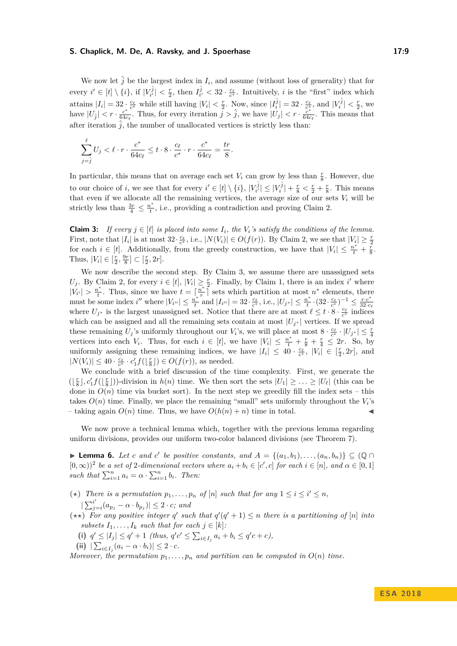## **S. Chaplick, M. De, A. Ravsky, and J. Spoerhase 17:9**

We now let  $\hat{j}$  be the largest index in  $I_i$ , and assume (without loss of generality) that for every  $i' \in [t] \setminus \{i\}$ , if  $|V_{i'}^{\hat{j}}| < \frac{r}{2}$ , then  $I_{i'}^{\hat{j}} < 32 \cdot \frac{c_{\ell}}{c^*}$ . Intuitively, i is the "first" index which attains  $|I_i|=32$ ;  $\frac{c_\ell}{c^*}$  while still having  $|V_i| < \frac{r}{2}$ . Now, since  $|I_i^{\hat{j}}|=32 \cdot \frac{c_\ell}{c_*^*}$ , and  $|V_i^{\hat{j}}| < \frac{r}{2}$ , we have  $|U_j| < r \cdot \frac{c^*}{64c}$  $\frac{c^*}{64c_\ell}$ . Thus, for every iteration  $j > \hat{j}$ , we have  $|U_j| < r \cdot \frac{c^*}{64c_\ell}$ .  $\frac{c^*}{64c_\ell}$ . This means that after iteration  $\hat{j}$ , the number of unallocated vertices is strictly less than:

$$
\sum_{j=\hat{j}}^{\ell} U_j < \ell \cdot r \cdot \frac{c^*}{64c_{\ell}} \leq t \cdot 8 \cdot \frac{c_{\ell}}{c^*} \cdot r \cdot \frac{c^*}{64c_{\ell}} = \frac{tr}{8}.
$$

In particular, this means that on average each set  $V_i$  can grow by less than  $\frac{r}{8}$ . However, due to our choice of *i*, we see that for every  $i' \in [t] \setminus \{i\}, |V_{i'}^{\hat{j}}| \leq |V_i^{\hat{j}}| + \frac{r}{8} < \frac{r}{2} + \frac{r}{8}$ . This means that even if we allocate all the remaining vertices, the average size of our sets  $V_i$  will be strictly less than  $\frac{3r}{4} \leq \frac{n^*}{t}$  $t_t^{\text{r}}$ , i.e., providing a contradiction and proving Claim 2.

**Claim 3:** *If every*  $j \in [\ell]$  *is placed into some*  $I_i$ *, the*  $V_i$ *'s satisfy the conditions of the lemma.* First, note that  $|I_i|$  is at most 32 $\cdot \frac{c_{\ell}}{c^*}$ , i.e.,  $|N(V_i)| \in O(f(r))$ . By Claim 2, we see that  $|V_i| \geq \frac{r}{2}$ for each  $i \in [t]$ . Additionally, from the greedy construction, we have that  $|V_i| \leq \frac{n^*}{t} + \frac{r}{8}$ . Thus,  $|V_i| \in [\frac{r}{2}, \frac{9r}{8}] \subset [\frac{r}{2}, 2r]$ .

We now describe the second step. By Claim 3, we assume there are unassigned sets *U*<sub>*j*</sub>. By Claim 2, for every  $i \in [t]$ ,  $|V_i| \geq \frac{r}{2}$ . Finally, by Claim 1, there is an index *i*' where  $|V_{i'}| > \frac{n^*}{t}$  $t^*$ . Thus, since we have  $t = \lceil \frac{n^*}{r} \rceil$  $\frac{n^*}{r}$  sets which partition at most  $n^*$  elements, there must be some index *i*<sup>*n*</sup> where  $|V_{i}$ <sup>*i*</sup>  $| \leq \frac{n^*}{t}$  $\frac{1}{t}$ <sup>*t*</sup><sup>*t*</sup></sup> and  $|I_{i''}| = 32 \cdot \frac{c_{\ell}}{c^*}$ , i.e.,  $|U_{j^*}| \leq \frac{n^*}{t}$  $\frac{n^*}{t} \cdot (32 \cdot \frac{c_\ell}{c^*})^{-1} \leq \frac{r \cdot c^*}{32 \cdot c}$  $32 \cdot c_\ell$ where  $U_{j^*}$  is the largest unassigned set. Notice that there are at most  $\ell \leq t \cdot 8 \cdot \frac{c_{\ell}}{c^*}$  indices which can be assigned and all the remaining sets contain at most  $|U_{j^*}|$  vertices. If we spread these remaining  $U_j$ 's uniformly throughout our  $V_i$ 's, we will place at most  $8 \cdot \frac{c_\ell}{c^*} \cdot |U_{j^*}| \leq \frac{r}{4}$ vertices into each *V*<sub>*i*</sub>. Thus, for each  $i \in [t]$ , we have  $|V_i| \le \frac{n^*}{t} + \frac{r}{8} + \frac{r}{4} \le 2r$ . So, by uniformly assigning these remaining indices, we have  $|I_i| \leq 40 \cdot \frac{c_{\ell}}{c^*}, |V_i| \in [\frac{r}{2}, 2r]$ , and  $|N(V_i)| \leq 40 \cdot \frac{c_{\ell}}{c^*} \cdot c'_1 f(\lfloor \frac{r}{8} \rfloor) \in O(f(r))$ , as needed.

We conclude with a brief discussion of the time complexity. First, we generate the  $(\lfloor \frac{r}{8} \rfloor, c'_1 f(\lfloor \frac{r}{8} \rfloor))$ -division in  $h(n)$  time. We then sort the sets  $|U_1| \geq ... \geq |U_\ell|$  (this can be done in  $O(n)$  time via bucket sort). In the next step we greedily fill the index sets – this takes  $O(n)$  time. Finally, we place the remaining "small" sets uniformly throughout the  $V_i$ 's – taking again  $O(n)$  time. Thus, we have  $O(h(n) + n)$  time in total.

We now prove a technical lemma which, together with the previous lemma regarding uniform divisions, provides our uniform two-color balanced divisions (see Theorem [7\)](#page-9-0).

<span id="page-8-0"></span>▶ **Lemma 6.** *Let c and c*<sup>'</sup> *be positive constants, and*  $A = \{(a_1, b_1), \ldots, (a_n, b_n)\} ⊆ (Q ∩$  $[0, \infty)$ <sup>2</sup> be a set of 2-dimensional vectors where  $a_i + b_i \in [c', c]$  for each  $i \in [n]$ , and  $\alpha \in [0, 1]$ *such that*  $\sum_{i=1}^{n} a_i = \alpha \cdot \sum_{i=1}^{n} b_i$ *. Then:* 

- (\*) There is a permutation  $p_1, \ldots, p_n$  of  $[n]$  such that for any  $1 \leq i \leq i' \leq n$ ,  $\sum_{i}^{i'}$  $\left| \int_{j=i}^{i} (a_{p_j} - \alpha \cdot b_{p_j}) \right| \leq 2 \cdot c$ *; and*
- $(\star \star)$  For any positive integer *q*' such that  $q'(q'+1) \leq n$  there is a partitioning of [*n*] into *subsets*  $I_1, \ldots, I_k$  *such that for each*  $j \in [k]$ *:* 
	- (i)  $q' \leq |I_j| \leq q' + 1$  (thus,  $q'c' \leq \sum_{i \in I_j} a_i + b_i \leq q'c + c$ ),
	- $(|i|)$   $|\sum_{i \in I_j} (a_i \alpha \cdot b_i)| \leq 2 \cdot c.$

*Moreover, the permutation*  $p_1, \ldots, p_n$  *and partition can be computed in*  $O(n)$  *time.*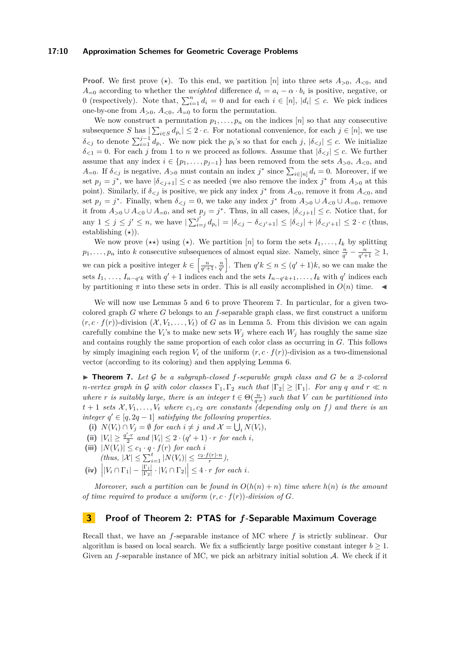## **17:10 Approximation Schemes for Geometric Coverage Problems**

**Proof.** We first prove  $(\star)$ . To this end, we partition [*n*] into three sets  $A_{>0}$ ,  $A_{<0}$ , and *A*=0 according to whether the *weighted* difference  $d_i = a_i - \alpha \cdot b_i$  is positive, negative, or 0 (respectively). Note that,  $\sum_{i=1}^{n} d_i = 0$  and for each  $i \in [n]$ ,  $|d_i| \leq c$ . We pick indices one-by-one from  $A_{>0}$ ,  $A_{<0}$ ,  $A_{=0}$  to form the permutation.

We now construct a permutation  $p_1, \ldots, p_n$  on the indices  $[n]$  so that any consecutive subsequence *S* has  $|\sum_{i \in S} d_{p_i}| \leq 2 \cdot c$ . For notational convenience, for each  $j \in [n]$ , we use  $\delta_{\le j}$  to denote  $\sum_{i=1}^{j-1} d_{p_i}$ . We now pick the *p*<sub>*i*</sub>'s so that for each *j*,  $|\delta_{\le j}| \le c$ . We initialize  $\delta_{\leq 1} = 0$ . For each *j* from 1 to *n* we proceed as follows. Assume that  $|\delta_{\leq i}| \leq c$ . We further assume that any index  $i \in \{p_1, \ldots, p_{j-1}\}$  has been removed from the sets  $A_{>0}$ ,  $A_{<0}$ , and *A*=0. If  $\delta_{\leq j}$  is negative,  $A_{>0}$  must contain an index  $j^*$  since  $\sum_{i\in[n]}d_i=0$ . Moreover, if we set  $p_j = j^*$ , we have  $|\delta_{\le j+1}| \le c$  as needed (we also remove the index  $j^*$  from  $A_{>0}$  at this point). Similarly, if  $\delta_{\leq j}$  is positive, we pick any index  $j^*$  from  $A_{\leq 0}$ , remove it from  $A_{\leq 0}$ , and set  $p_j = j^*$ . Finally, when  $\delta_{\leq j} = 0$ , we take any index  $j^*$  from  $A_{>0} \cup A_{<0} \cup A_{=0}$ , remove it from  $A_{>0} \cup A_{<0} \cup A_{=0}$ , and set  $p_j = j^*$ . Thus, in all cases,  $|\delta_{< j+1}| \leq c$ . Notice that, for any  $1 \leq j \leq j' \leq n$ , we have  $\sum_{i=1}^{j'}$  $\int_{i=j}^{j} d_{p_i}$  | =  $|\delta_{ (thus,$ establishing  $(\star)$ ).

We now prove  $(\star \star)$  using  $(\star)$ . We partition [*n*] to form the sets  $I_1, \ldots, I_k$  by splitting *p*<sub>1</sub>*,..., p<sub>n</sub>* into *k* consecutive subsequences of almost equal size. Namely, since  $\frac{n}{q'} - \frac{n}{q'+1} \geq 1$ , we can pick a positive integer  $k \in \left[\frac{n}{q'+1}, \frac{n}{q'}\right]$ . Then  $q'k \leq n \leq (q'+1)k$ , so we can make the sets  $I_1, \ldots, I_{n-q'k}$  with  $q' + 1$  indices each and the sets  $I_{n-q'k+1}, \ldots, I_k$  with  $q'$  indices each by partitioning  $\pi$  into these sets in order. This is all easily accomplished in  $O(n)$  time.

We will now use Lemmas [5](#page-6-1) and [6](#page-8-0) to prove Theorem [7.](#page-9-0) In particular, for a given twocolored graph *G* where *G* belongs to an *f*-separable graph class, we first construct a uniform  $(r, c \cdot f(r))$ -division  $(\mathcal{X}, V_1, \ldots, V_t)$  of *G* as in Lemma [5.](#page-6-1) From this division we can again carefully combine the  $V_i$ 's to make new sets  $W_j$  where each  $W_j$  has roughly the same size and contains roughly the same proportion of each color class as occurring in *G*. This follows by simply imagining each region  $V_i$  of the uniform  $(r, c \cdot f(r))$ -division as a two-dimensional vector (according to its coloring) and then applying Lemma [6.](#page-8-0)

<span id="page-9-0"></span>▶ **Theorem 7.** Let G be a subgraph-closed f-separable graph class and G be a 2-colored *n*-vertex graph in G with color classes  $\Gamma_1, \Gamma_2$  *such that*  $|\Gamma_2| \geq |\Gamma_1|$ *. For any q and*  $r \ll n$ *where r is suitably large, there is an integer*  $t \in \Theta(\frac{n}{q \cdot r})$  *such that V can be partitioned into*  $t + 1$  *sets*  $\mathcal{X}, V_1, \ldots, V_t$  *where*  $c_1, c_2$  *are constants (depending only on f*) *and there is an integer*  $q' \in [q, 2q - 1]$  *satisfying the following properties.* 

- (i)  $N(V_i) \cap V_j = \emptyset$  for each  $i \neq j$  and  $\mathcal{X} = \bigcup_i N(V_i)$ ,
- <span id="page-9-2"></span>(ii)  $|V_i| \geq \frac{q' \cdot r}{2}$  and  $|V_i| \leq 2 \cdot (q' + 1) \cdot r$  for each *i*,
- <span id="page-9-3"></span>(iii)  $|N(V_i)| \leq c_1 \cdot q \cdot f(r)$  *for each i* 
	- $(t$ *hus,*  $|\mathcal{X}| \le \sum_{i=1}^{t} |N(V_i)| \le \frac{c_2 \cdot f(r) \cdot n}{r},$
- <span id="page-9-4"></span> $(|\mathbf{v}|)$   $\left| |V_i \cap \Gamma_1| - \frac{|\Gamma_1|}{|\Gamma_2|} \cdot |V_i \cap \Gamma_2| \right| \leq 4 \cdot r$  *for each i.*

*Moreover, such a partition can be found in*  $O(h(n) + n)$  *time where*  $h(n)$  *is the amount of time required to produce a uniform*  $(r, c \cdot f(r))$ *-division of G.* 

## <span id="page-9-1"></span>**3 Proof of Theorem [2:](#page-4-1) PTAS for** *f***-Separable Maximum Coverage**

Recall that, we have an *f*-separable instance of MC where *f* is strictly sublinear. Our algorithm is based on local search. We fix a sufficiently large positive constant integer  $b \geq 1$ . Given an *f*-separable instance of MC, we pick an arbitrary initial solution A. We check if it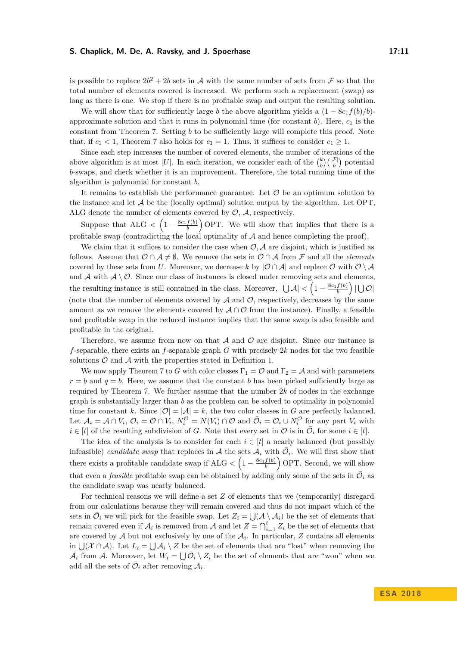## **S. Chaplick, M. De, A. Ravsky, and J. Spoerhase 17:11** 17:11

is possible to replace  $2b^2 + 2b$  sets in A with the same number of sets from F so that the total number of elements covered is increased. We perform such a replacement (swap) as long as there is one. We stop if there is no profitable swap and output the resulting solution.

We will show that for sufficiently large *b* the above algorithm yields a  $(1 - 8c_1 f(b)/b)$ approximate solution and that it runs in polynomial time (for constant  $b$ ). Here,  $c_1$  is the constant from Theorem [7.](#page-9-0) Setting *b* to be sufficiently large will complete this proof. Note that, if  $c_1 < 1$ , Theorem [7](#page-9-0) also holds for  $c_1 = 1$ . Thus, it suffices to consider  $c_1 \geq 1$ .

Since each step increases the number of covered elements, the number of iterations of the above algorithm is at most |*U*|. In each iteration, we consider each of the  $\binom{k}{b}\binom{|\mathcal{F}|}{b}$  potential *b*-swaps, and check whether it is an improvement. Therefore, the total running time of the algorithm is polynomial for constant *b*.

It remains to establish the performance guarantee. Let  $O$  be an optimum solution to the instance and let  $A$  be the (locally optimal) solution output by the algorithm. Let OPT, ALG denote the number of elements covered by  $\mathcal{O}, \mathcal{A}$ , respectively.

Suppose that  $ALG < \left(1 - \frac{8c_1 f(b)}{b}\right)$  OPT. We will show that implies that there is a profitable swap (contradicting the local optimality of  $A$  and hence completing the proof).

We claim that it suffices to consider the case when  $\mathcal{O}, \mathcal{A}$  are disjoint, which is justified as follows. Assume that  $\mathcal{O} \cap \mathcal{A} \neq \emptyset$ . We remove the sets in  $\mathcal{O} \cap \mathcal{A}$  from  $\mathcal{F}$  and all the *elements* covered by these sets from *U*. Moreover, we decrease *k* by  $|O \cap A|$  and replace  $O$  with  $O \setminus A$ and  $A$  with  $A \setminus \mathcal{O}$ . Since our class of instances is closed under removing sets and elements, the resulting instance is still contained in the class. Moreover,  $|\bigcup \mathcal{A}| < \left(1 - \frac{8c_1 f(b)}{b}\right)| \bigcup \mathcal{O}|$ (note that the number of elements covered by  $A$  and  $O$ , respectively, decreases by the same amount as we remove the elements covered by  $\mathcal{A} \cap \mathcal{O}$  from the instance). Finally, a feasible and profitable swap in the reduced instance implies that the same swap is also feasible and profitable in the original.

Therefore, we assume from now on that  $A$  and  $O$  are disjoint. Since our instance is *f*-separable, there exists an *f*-separable graph *G* with precisely 2*k* nodes for the two feasible solutions  $\mathcal O$  and  $\mathcal A$  with the properties stated in Definition [1.](#page-4-2)

We now apply Theorem [7](#page-9-0) to *G* with color classes  $\Gamma_1 = \mathcal{O}$  and  $\Gamma_2 = \mathcal{A}$  and with parameters  $r = b$  and  $q = b$ . Here, we assume that the constant *b* has been picked sufficiently large as required by Theorem [7.](#page-9-0) We further assume that the number  $2k$  of nodes in the exchange graph is substantially larger than *b* as the problem can be solved to optimality in polynomial time for constant *k*. Since  $|O| = |\mathcal{A}| = k$ , the two color classes in *G* are perfectly balanced. Let  $\mathcal{A}_i = \mathcal{A} \cap V_i$ ,  $\mathcal{O}_i = \mathcal{O} \cap V_i$ ,  $N_i^{\mathcal{O}} = N(V_i) \cap \mathcal{O}$  and  $\overline{\mathcal{O}}_i = \mathcal{O}_i \cup N_i^{\mathcal{O}}$  for any part  $V_i$  with  $i \in [t]$  of the resulting subdivision of *G*. Note that every set in  $\mathcal{O}$  is in  $\overline{\mathcal{O}}_i$  for some  $i \in [t]$ .

The idea of the analysis is to consider for each  $i \in [t]$  a nearly balanced (but possibly infeasible) *candidate swap* that replaces in A the sets  $A_i$  with  $\overline{O}_i$ . We will first show that there exists a profitable candidate swap if  $ALG < \left(1 - \frac{8c_1 f(b)}{b}\right)$  OPT. Second, we will show that even a *feasible* profitable swap can be obtained by adding only some of the sets in  $\overline{O}_i$  as the candidate swap was nearly balanced.

For technical reasons we will define a set *Z* of elements that we (temporarily) disregard from our calculations because they will remain covered and thus do not impact which of the sets in  $\overline{O}_i$  we will pick for the feasible swap. Let  $Z_i = \bigcup_{i} (\mathcal{A} \setminus \mathcal{A}_i)$  be the set of elements that remain covered even if  $\mathcal{A}_i$  is removed from  $\mathcal{A}$  and let  $Z = \bigcap_{i=1}^t Z_i$  be the set of elements that are covered by  $A$  but not exclusively by one of the  $A_i$ . In particular,  $Z$  contains all elements in  $\bigcup (\mathcal{X} \cap \mathcal{A})$ . Let  $L_i = \bigcup \mathcal{A}_i \setminus Z$  be the set of elements that are "lost" when removing the  $\mathcal{A}_i$  from  $\mathcal{A}$ . Moreover, let  $W_i = \bigcup \overline{\mathcal{O}}_i \setminus Z_i$  be the set of elements that are "won" when we add all the sets of  $\overline{\mathcal{O}}_i$  after removing  $\mathcal{A}_i$ .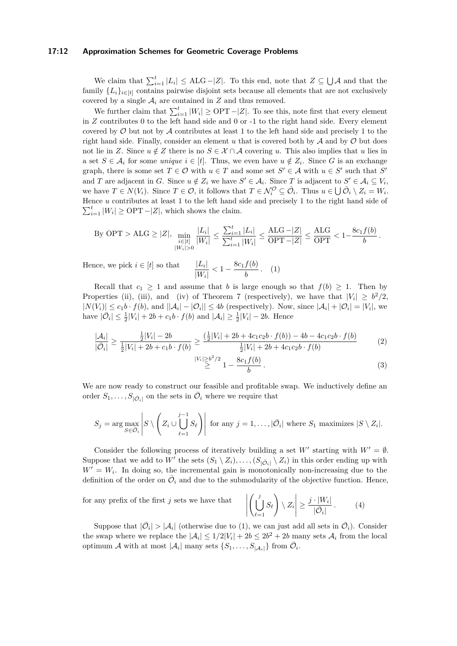## **17:12 Approximation Schemes for Geometric Coverage Problems**

We claim that  $\sum_{i=1}^{t} |L_i| \leq \text{ALG} - |Z|$ . To this end, note that  $Z \subseteq \bigcup \mathcal{A}$  and that the family  ${L_i}_{i \in [t]}$  contains pairwise disjoint sets because all elements that are not exclusively covered by a single  $A_i$  are contained in  $Z$  and thus removed.

We further claim that  $\sum_{i=1}^{t} |W_i| \geq \text{OPT} - |Z|$ . To see this, note first that every element in *Z* contributes 0 to the left hand side and 0 or -1 to the right hand side. Every element covered by  $\mathcal O$  but not by  $\mathcal A$  contributes at least 1 to the left hand side and precisely 1 to the right hand side. Finally, consider an element  $u$  that is covered both by  $\mathcal A$  and by  $\mathcal O$  but does not lie in *Z*. Since  $u \notin Z$  there is no  $S \in \mathcal{X} \cap \mathcal{A}$  covering *u*. This also implies that *u* lies in a set  $S \in \mathcal{A}_i$  for some *unique*  $i \in [t]$ . Thus, we even have  $u \notin Z_i$ . Since G is an exchange graph, there is some set  $T \in \mathcal{O}$  with  $u \in T$  and some set  $S' \in \mathcal{A}$  with  $u \in S'$  such that  $S'$ and *T* are adjacent in *G*. Since  $u \notin Z_i$  we have  $S' \in A_i$ . Since *T* is adjacent to  $S' \in A_i \subseteq V_i$ , we have  $T \in N(V_i)$ . Since  $T \in \mathcal{O}$ , it follows that  $T \in \mathcal{N}_i^{\mathcal{O}} \subseteq \overline{\mathcal{O}}_i$ . Thus  $u \in \bigcup \overline{\mathcal{O}}_i \setminus Z_i = W_i$ . Hence *u* contributes at least 1 to the left hand side and precisely 1 to the right hand side of  $\sum_{i=1}^{t} |W_i| \ge \text{OPT} - |Z|$ , which shows the claim.

By OPT > ALG 
$$
\geq |Z|
$$
,  $\min_{\substack{i \in [t] \\ |W_i| > 0}} \frac{|L_i|}{|W_i|} \leq \frac{\sum_{i=1}^t |L_i|}{\sum_{i=1}^t |W_i|} \leq \frac{\text{ALG} - |Z|}{\text{OPT} - |Z|} \leq \frac{\text{ALG}}{\text{OPT}} < 1 - \frac{8c_1 f(b)}{b}$ .

Hence, we pick  $i \in [t]$  so that |  $\frac{|L_i|}{|W_i|} < 1 - \frac{8c_1f(b)}{b}$  $\frac{f^{(0)}}{b}$ . (1)

Recall that  $c_1 \geq 1$  and assume that *b* is large enough so that  $f(b) \geq 1$ . Then by Properties [\(ii\)](#page-9-2), [\(iii\)](#page-9-3), and [\(iv\)](#page-9-4) of Theorem [7](#page-9-0) (respectively), we have that  $|V_i| \geq b^2/2$ ,  $|N(V_i)| \leq c_1 b \cdot f(b)$ , and  $||A_i| - |O_i|| \leq 4b$  (respectively). Now, since  $|A_i| + |O_i| = |V_i|$ , we have  $|\bar{O}_i| \leq \frac{1}{2}|V_i| + 2b + c_1b \cdot f(b)$  and  $|A_i| \geq \frac{1}{2}|V_i| - 2b$ . Hence

$$
\frac{|\mathcal{A}_i|}{|\bar{\mathcal{O}}_i|} \ge \frac{\frac{1}{2}|V_i| - 2b}{\frac{1}{2}|V_i| + 2b + c_1b \cdot f(b)} \ge \frac{(\frac{1}{2}|V_i| + 2b + 4c_1c_2b \cdot f(b)) - 4b - 4c_1c_2b \cdot f(b)}{\frac{1}{2}|V_i| + 2b + 4c_1c_2b \cdot f(b)} \tag{2}
$$

<span id="page-11-2"></span><span id="page-11-0"></span>
$$
\stackrel{|V_i| \ge b^2/2}{\ge} 1 - \frac{8c_1 f(b)}{b} \,. \tag{3}
$$

We are now ready to construct our feasible and profitable swap. We inductively define an order  $S_1, \ldots, S_{|\bar{O}_i|}$  on the sets in  $\bar{O}_i$  where we require that

$$
S_j = \arg \max_{S \in \bar{\mathcal{O}}_i} \left| S \setminus \left( Z_i \cup \bigcup_{\ell=1}^{j-1} S_\ell \right) \right| \text{ for any } j = 1, \dots, |\bar{\mathcal{O}}_i| \text{ where } S_1 \text{ maximizes } |S \setminus Z_i|.
$$

Consider the following process of iteratively building a set *W'* starting with  $W' = \emptyset$ . Suppose that we add to *W'* the sets  $(S_1 \setminus Z_i), \ldots, (S_{|\bar{O}_i|} \setminus Z_i)$  in this order ending up with  $W' = W_i$ . In doing so, the incremental gain is monotonically non-increasing due to the definition of the order on  $\overline{\mathcal{O}}_i$  and due to the submodularity of the objective function. Hence,

for any prefix of the first *j* sets we have that

<span id="page-11-1"></span>
$$
\left| \left( \bigcup_{\ell=1}^j S_\ell \right) \setminus Z_i \right| \geq \frac{j \cdot |W_i|}{|\bar{O}_i|} \,. \tag{4}
$$

Suppose that  $|\bar{O}_i| > |A_i|$  (otherwise due to [\(1\)](#page-11-0), we can just add all sets in  $\bar{O}_i$ ). Consider the swap where we replace the  $|\mathcal{A}_i| \leq 1/2|V_i| + 2b \leq 2b^2 + 2b$  many sets  $\mathcal{A}_i$  from the local optimum A with at most  $|\mathcal{A}_i|$  many sets  $\{S_1, \ldots, S_{|\mathcal{A}_i|}\}$  from  $\overline{\mathcal{O}}_i$ .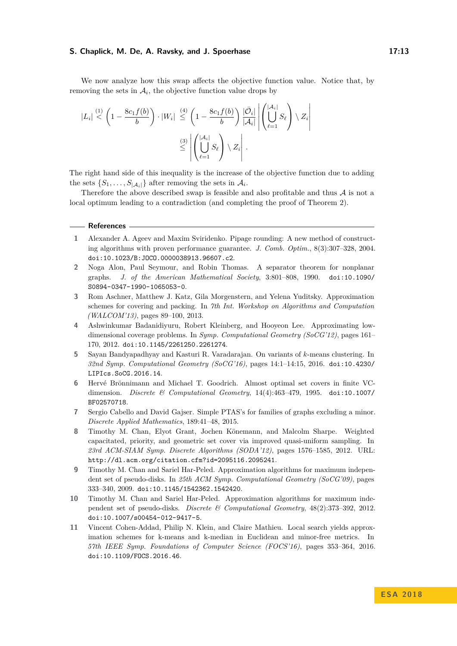## **S. Chaplick, M. De, A. Ravsky, and J. Spoerhase 17:13**

We now analyze how this swap affects the objective function value. Notice that, by removing the sets in  $A_i$ , the objective function value drops by

$$
|L_i| \stackrel{(1)}{<} \left(1 - \frac{8c_1 f(b)}{b}\right) \cdot |W_i| \stackrel{(4)}{\leq} \left(1 - \frac{8c_1 f(b)}{b}\right) \frac{|\bar{\mathcal{O}}_i|}{|\mathcal{A}_i|} \left| \left(\bigcup_{\ell=1}^{\lceil \mathcal{A}_i \rceil} S_\ell\right) \setminus Z_i \right|
$$

$$
\stackrel{(3)}{\leq} \left| \left(\bigcup_{\ell=1}^{\lceil \mathcal{A}_i \rceil} S_\ell\right) \setminus Z_i \right|.
$$

The right hand side of this inequality is the increase of the objective function due to adding the sets  $\{S_1, \ldots, S_{|\mathcal{A}_i|}\}\$ after removing the sets in  $\mathcal{A}_i$ .

Therefore the above described swap is feasible and also profitable and thus  $A$  is not a local optimum leading to a contradiction (and completing the proof of Theorem [2\)](#page-4-1).

#### **References**

- <span id="page-12-1"></span>**1** Alexander A. Ageev and Maxim Sviridenko. Pipage rounding: A new method of constructing algorithms with proven performance guarantee. *J. Comb. Optim.*, 8(3):307–328, 2004. [doi:10.1023/B:JOCO.0000038913.96607.c2](http://dx.doi.org/10.1023/B:JOCO.0000038913.96607.c2).
- <span id="page-12-10"></span>**2** Noga Alon, Paul Seymour, and Robin Thomas. A separator theorem for nonplanar graphs. *J. of the American Mathematical Society*, 3:801–808, 1990. [doi:10.1090/](http://dx.doi.org/10.1090/S0894-0347-1990-1065053-0) [S0894-0347-1990-1065053-0](http://dx.doi.org/10.1090/S0894-0347-1990-1065053-0).
- <span id="page-12-6"></span>**3** Rom Aschner, Matthew J. Katz, Gila Morgenstern, and Yelena Yuditsky. Approximation schemes for covering and packing. In *7th Int. Workshop on Algorithms and Computation (WALCOM'13)*, pages 89–100, 2013.
- <span id="page-12-0"></span>**4** Ashwinkumar Badanidiyuru, Robert Kleinberg, and Hooyeon Lee. Approximating lowdimensional coverage problems. In *Symp. Computational Geometry (SoCG'12)*, pages 161– 170, 2012. [doi:10.1145/2261250.2261274](http://dx.doi.org/10.1145/2261250.2261274).
- <span id="page-12-9"></span>**5** Sayan Bandyapadhyay and Kasturi R. Varadarajan. On variants of *k*-means clustering. In *32nd Symp. Computational Geometry (SoCG'16)*, pages 14:1–14:15, 2016. [doi:10.4230/](http://dx.doi.org/10.4230/LIPIcs.SoCG.2016.14) [LIPIcs.SoCG.2016.14](http://dx.doi.org/10.4230/LIPIcs.SoCG.2016.14).
- <span id="page-12-2"></span>**6** Hervé Brönnimann and Michael T. Goodrich. Almost optimal set covers in finite VCdimension. *Discrete & Computational Geometry*, 14(4):463–479, 1995. [doi:10.1007/](http://dx.doi.org/10.1007/BF02570718) [BF02570718](http://dx.doi.org/10.1007/BF02570718).
- <span id="page-12-7"></span>**7** Sergio Cabello and David Gajser. Simple PTAS's for families of graphs excluding a minor. *Discrete Applied Mathematics*, 189:41–48, 2015.
- <span id="page-12-3"></span>**8** Timothy M. Chan, Elyot Grant, Jochen Könemann, and Malcolm Sharpe. Weighted capacitated, priority, and geometric set cover via improved quasi-uniform sampling. In *23rd ACM-SIAM Symp. Discrete Algorithms (SODA'12)*, pages 1576–1585, 2012. URL: <http://dl.acm.org/citation.cfm?id=2095116.2095241>.
- <span id="page-12-4"></span>**9** Timothy M. Chan and Sariel Har-Peled. Approximation algorithms for maximum independent set of pseudo-disks. In *25th ACM Symp. Computational Geometry (SoCG'09)*, pages 333–340, 2009. [doi:10.1145/1542362.1542420](http://dx.doi.org/10.1145/1542362.1542420).
- <span id="page-12-5"></span>**10** Timothy M. Chan and Sariel Har-Peled. Approximation algorithms for maximum independent set of pseudo-disks. *Discrete & Computational Geometry*, 48(2):373–392, 2012. [doi:10.1007/s00454-012-9417-5](http://dx.doi.org/10.1007/s00454-012-9417-5).
- <span id="page-12-8"></span>**11** Vincent Cohen-Addad, Philip N. Klein, and Claire Mathieu. Local search yields approximation schemes for k-means and k-median in Euclidean and minor-free metrics. In *57th IEEE Symp. Foundations of Computer Science (FOCS'16)*, pages 353–364, 2016. [doi:10.1109/FOCS.2016.46](http://dx.doi.org/10.1109/FOCS.2016.46).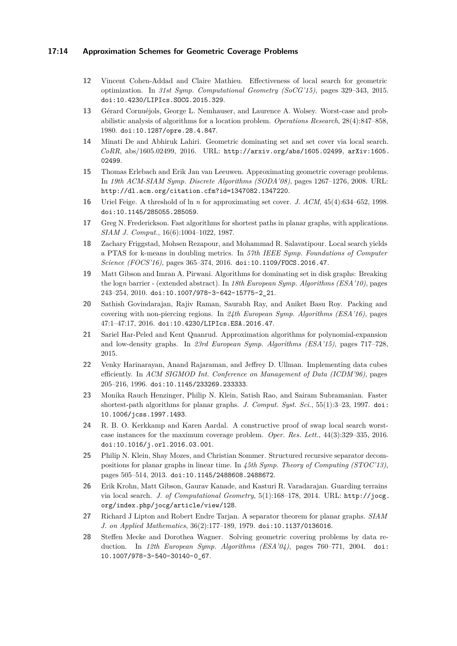## **17:14 Approximation Schemes for Geometric Coverage Problems**

- <span id="page-13-11"></span>**12** Vincent Cohen-Addad and Claire Mathieu. Effectiveness of local search for geometric optimization. In *31st Symp. Computational Geometry (SoCG'15)*, pages 329–343, 2015. [doi:10.4230/LIPIcs.SOCG.2015.329](http://dx.doi.org/10.4230/LIPIcs.SOCG.2015.329).
- <span id="page-13-1"></span>**13** Gérard Cornuéjols, George L. Nemhauser, and Laurence A. Wolsey. Worst-case and probabilistic analysis of algorithms for a location problem. *Operations Research*, 28(4):847–858, 1980. [doi:10.1287/opre.28.4.847](http://dx.doi.org/10.1287/opre.28.4.847).
- <span id="page-13-6"></span>**14** Minati De and Abhiruk Lahiri. Geometric dominating set and set cover via local search. *CoRR*, abs/1605.02499, 2016. URL: <http://arxiv.org/abs/1605.02499>, [arXiv:1605.](http://arxiv.org/abs/1605.02499) [02499](http://arxiv.org/abs/1605.02499).
- <span id="page-13-5"></span>**15** Thomas Erlebach and Erik Jan van Leeuwen. Approximating geometric coverage problems. In *19th ACM-SIAM Symp. Discrete Algorithms (SODA'08)*, pages 1267–1276, 2008. URL: <http://dl.acm.org/citation.cfm?id=1347082.1347220>.
- <span id="page-13-4"></span>**16** Uriel Feige. A threshold of ln *n* for approximating set cover. *J. ACM*, 45(4):634–652, 1998. [doi:10.1145/285055.285059](http://dx.doi.org/10.1145/285055.285059).
- <span id="page-13-0"></span>**17** Greg N. Frederickson. Fast algorithms for shortest paths in planar graphs, with applications. *SIAM J. Comput.*, 16(6):1004–1022, 1987.
- <span id="page-13-12"></span>**18** Zachary Friggstad, Mohsen Rezapour, and Mohammad R. Salavatipour. Local search yields a PTAS for k-means in doubling metrics. In *57th IEEE Symp. Foundations of Computer Science (FOCS'16)*, pages 365–374, 2016. [doi:10.1109/FOCS.2016.47](http://dx.doi.org/10.1109/FOCS.2016.47).
- <span id="page-13-7"></span>**19** Matt Gibson and Imran A. Pirwani. Algorithms for dominating set in disk graphs: Breaking the log*n* barrier - (extended abstract). In *18th European Symp. Algorithms (ESA'10)*, pages 243–254, 2010. [doi:10.1007/978-3-642-15775-2\\_21](http://dx.doi.org/10.1007/978-3-642-15775-2_21).
- <span id="page-13-9"></span>**20** Sathish Govindarajan, Rajiv Raman, Saurabh Ray, and Aniket Basu Roy. Packing and covering with non-piercing regions. In *24th European Symp. Algorithms (ESA'16)*, pages 47:1–47:17, 2016. [doi:10.4230/LIPIcs.ESA.2016.47](http://dx.doi.org/10.4230/LIPIcs.ESA.2016.47).
- <span id="page-13-10"></span>**21** Sariel Har-Peled and Kent Quanrud. Approximation algorithms for polynomial-expansion and low-density graphs. In *23rd European Symp. Algorithms (ESA'15)*, pages 717–728, 2015.
- <span id="page-13-3"></span>**22** Venky Harinarayan, Anand Rajaraman, and Jeffrey D. Ullman. Implementing data cubes efficiently. In *ACM SIGMOD Int. Conference on Management of Data (ICDM'96)*, pages 205–216, 1996. [doi:10.1145/233269.233333](http://dx.doi.org/10.1145/233269.233333).
- <span id="page-13-15"></span>**23** Monika Rauch Henzinger, Philip N. Klein, Satish Rao, and Sairam Subramanian. Faster shortest-path algorithms for planar graphs. *J. Comput. Syst. Sci.*, 55(1):3–23, 1997. [doi:](http://dx.doi.org/10.1006/jcss.1997.1493) [10.1006/jcss.1997.1493](http://dx.doi.org/10.1006/jcss.1997.1493).
- <span id="page-13-13"></span>**24** R. B. O. Kerkkamp and Karen Aardal. A constructive proof of swap local search worstcase instances for the maximum coverage problem. *Oper. Res. Lett.*, 44(3):329–335, 2016. [doi:10.1016/j.orl.2016.03.001](http://dx.doi.org/10.1016/j.orl.2016.03.001).
- <span id="page-13-16"></span>**25** Philip N. Klein, Shay Mozes, and Christian Sommer. Structured recursive separator decompositions for planar graphs in linear time. In *45th Symp. Theory of Computing (STOC'13)*, pages 505–514, 2013. [doi:10.1145/2488608.2488672](http://dx.doi.org/10.1145/2488608.2488672).
- <span id="page-13-8"></span>**26** Erik Krohn, Matt Gibson, Gaurav Kanade, and Kasturi R. Varadarajan. Guarding terrains via local search. *J. of Computational Geometry*, 5(1):168–178, 2014. URL: [http://jocg.](http://jocg.org/index.php/jocg/article/view/128) [org/index.php/jocg/article/view/128](http://jocg.org/index.php/jocg/article/view/128).
- <span id="page-13-14"></span>**27** Richard J Lipton and Robert Endre Tarjan. A separator theorem for planar graphs. *SIAM J. on Applied Mathematics*, 36(2):177–189, 1979. [doi:10.1137/0136016](http://dx.doi.org/10.1137/0136016).
- <span id="page-13-2"></span>**28** Steffen Mecke and Dorothea Wagner. Solving geometric covering problems by data reduction. In *12th European Symp. Algorithms (ESA'04)*, pages 760–771, 2004. [doi:](http://dx.doi.org/10.1007/978-3-540-30140-0_67) [10.1007/978-3-540-30140-0\\_67](http://dx.doi.org/10.1007/978-3-540-30140-0_67).